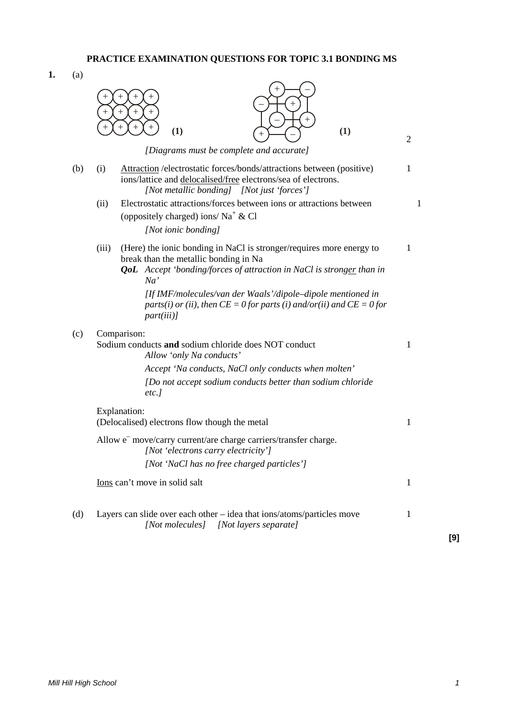**1.** (a)



**[9]**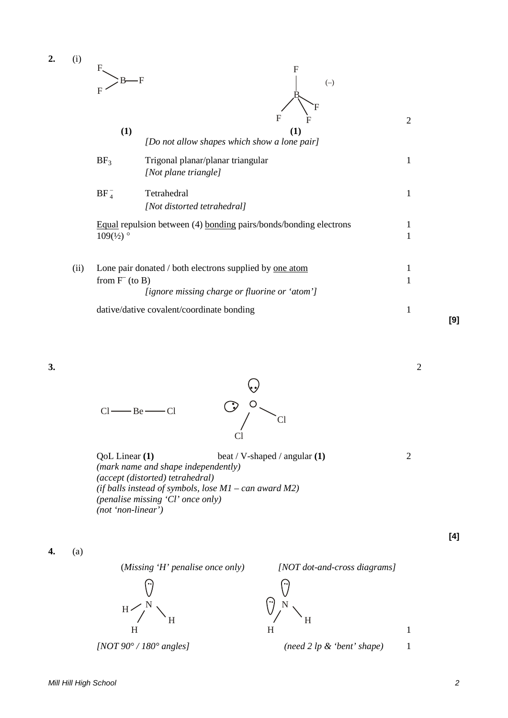| $\overline{2}$ . | (i)  | F                 | F<br>F<br>$(-)$                                                                                                 |                |
|------------------|------|-------------------|-----------------------------------------------------------------------------------------------------------------|----------------|
|                  |      | F                 | $\mathbf{F}$                                                                                                    |                |
|                  |      | (1)               | (1)<br>[Do not allow shapes which show a lone pair]                                                             | $\overline{2}$ |
|                  |      | BF <sub>3</sub>   | Trigonal planar/planar triangular<br>[Not plane triangle]                                                       | 1              |
|                  |      | $BF_4^-$          | Tetrahedral<br>[Not distorted tetrahedral]                                                                      | 1              |
|                  |      | $109^{t/2}$       | Equal repulsion between (4) bonding pairs/bonds/bonding electrons                                               | 1<br>1         |
|                  | (ii) | from $F^-($ to B) | Lone pair donated / both electrons supplied by <u>one atom</u><br>[ignore missing charge or fluorine or 'atom'] | 1<br>1         |
|                  |      |                   | dative/dative covalent/coordinate bonding                                                                       | 1              |

**3.** 2



| QoL Linear (1)                                             | beat / V-shaped / angular $(1)$ |  |
|------------------------------------------------------------|---------------------------------|--|
| (mark name and shape independently)                        |                                 |  |
| (accept (distorted) tetrahedral)                           |                                 |  |
| (if balls instead of symbols, lose $M1 - can$ award $M2$ ) |                                 |  |
| <i>(penalise missing 'Cl' once only)</i>                   |                                 |  |
| $(not 'non-linear')$                                       |                                 |  |

ြ

**4.** (a)



(*Missing 'H' penalise once only) [NOT dot-and-cross diagrams]*

 $\bigcirc$ <sup>N</sup> H H

*[NOT 90° / 180° angles] (need 2 lp & 'bent' shape)* 1

1

**[4]**

**[9]**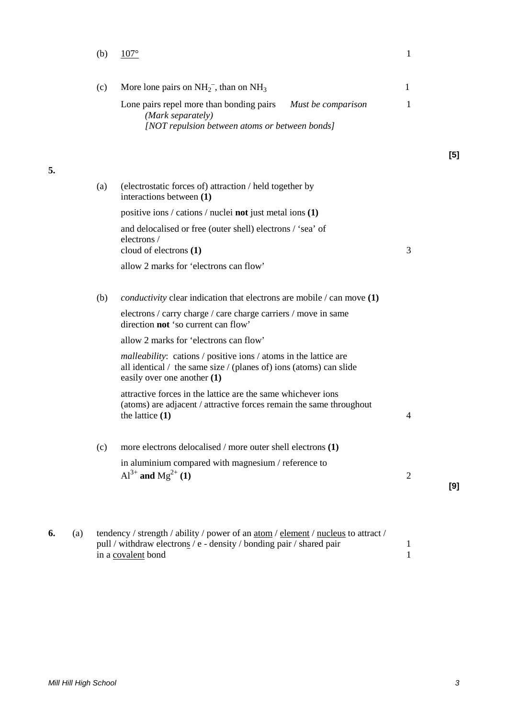| More lone pairs on $NH_2^-$ , than on $NH_3$<br>Lone pairs repel more than bonding pairs<br>Must be comparison                                                                | 1                      |     |
|-------------------------------------------------------------------------------------------------------------------------------------------------------------------------------|------------------------|-----|
|                                                                                                                                                                               |                        |     |
| (Mark separately)<br>[NOT repulsion between atoms or between bonds]                                                                                                           | 1                      |     |
|                                                                                                                                                                               |                        | [5] |
| (electrostatic forces of) attraction / held together by<br>interactions between (1)                                                                                           |                        |     |
| positive ions / cations / nuclei <b>not</b> just metal ions (1)                                                                                                               |                        |     |
| and delocalised or free (outer shell) electrons / 'sea' of<br>electrons /                                                                                                     |                        |     |
| allow 2 marks for 'electrons can flow'                                                                                                                                        |                        |     |
| <i>conductivity</i> clear indication that electrons are mobile $/$ can move $(1)$                                                                                             |                        |     |
| electrons / carry charge / care charge carriers / move in same<br>direction <b>not</b> 'so current can flow'                                                                  |                        |     |
| allow 2 marks for 'electrons can flow'                                                                                                                                        |                        |     |
| <i>malleability</i> : cations / positive ions / atoms in the lattice are<br>all identical / the same size / (planes of) ions (atoms) can slide<br>easily over one another (1) |                        |     |
| attractive forces in the lattice are the same whichever ions<br>(atoms) are adjacent / attractive forces remain the same throughout<br>the lattice $(1)$                      | $\overline{4}$         |     |
| more electrons delocalised / more outer shell electrons (1)                                                                                                                   |                        |     |
| in aluminium compared with magnesium / reference to<br>$Al^{3+}$ and $Mg^{2+}(1)$                                                                                             | $\overline{2}$         | [9] |
|                                                                                                                                                                               | cloud of electrons (1) | 3   |

**6.** (a) tendency / strength / ability / power of an <u>atom</u> / <u>element</u> / <u>nucleus</u> to attract / pull / withdraw electrons / e - density / bonding pair / shared pair 1 in a covalent bond 1

**5.**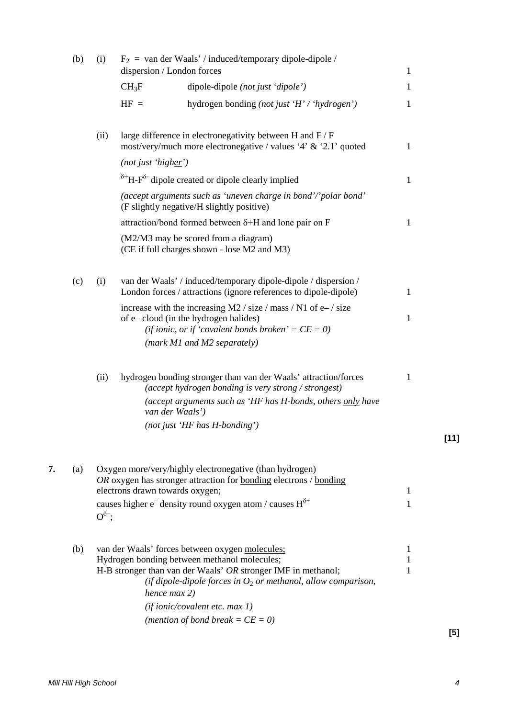|    | (b) | (i)           | dispersion / London forces      | $F_2$ = van der Waals' / induced/temporary dipole-dipole /                                                                                                                                                                                 | $\mathbf{1}$ |        |
|----|-----|---------------|---------------------------------|--------------------------------------------------------------------------------------------------------------------------------------------------------------------------------------------------------------------------------------------|--------------|--------|
|    |     |               | $CH_3F$                         | dipole-dipole (not just 'dipole')                                                                                                                                                                                                          | $\mathbf{1}$ |        |
|    |     |               | $HF =$                          | hydrogen bonding (not just 'H' / 'hydrogen')                                                                                                                                                                                               | $\mathbf{1}$ |        |
|    |     | (ii)          |                                 | large difference in electronegativity between H and F / F<br>most/very/much more electronegative / values '4' $\&$ '2.1' quoted                                                                                                            | 1            |        |
|    |     |               | (not just 'higher')             |                                                                                                                                                                                                                                            |              |        |
|    |     |               |                                 | $\delta$ <sup>+</sup> H-F <sup><math>\delta</math>-</sup> dipole created or dipole clearly implied                                                                                                                                         | $\mathbf{1}$ |        |
|    |     |               |                                 | (accept arguments such as 'uneven charge in bond'/'polar bond'<br>(F slightly negative/H slightly positive)                                                                                                                                |              |        |
|    |     |               |                                 | attraction/bond formed between $\delta$ +H and lone pair on F                                                                                                                                                                              | $\mathbf{1}$ |        |
|    |     |               |                                 | (M2/M3 may be scored from a diagram)<br>(CE if full charges shown - lose M2 and M3)                                                                                                                                                        |              |        |
|    | (c) | (i)           |                                 | van der Waals' / induced/temporary dipole-dipole / dispersion /<br>London forces / attractions (ignore references to dipole-dipole)                                                                                                        | 1            |        |
|    |     |               |                                 | increase with the increasing M2 / size / mass / N1 of $e$ – / size<br>of e-cloud (in the hydrogen halides)<br>(if ionic, or if 'covalent bonds broken' = $CE = 0$ )<br>(mark M1 and M2 separately)                                         | $\mathbf{1}$ |        |
|    |     | (ii)          |                                 | hydrogen bonding stronger than van der Waals' attraction/forces<br>(accept hydrogen bonding is very strong / strongest)<br>(accept arguments such as 'HF has H-bonds, others only have<br>van der Waals')<br>(not just 'HF has H-bonding') | $\mathbf{1}$ |        |
|    |     |               |                                 |                                                                                                                                                                                                                                            |              | $[11]$ |
| 7. | (a) |               | electrons drawn towards oxygen; | Oxygen more/very/highly electronegative (than hydrogen)<br>OR oxygen has stronger attraction for bonding electrons / bonding<br>causes higher $e^-$ density round oxygen atom / causes $H^{\delta+}$                                       | 1<br>1       |        |
|    |     | $O^{\delta-}$ |                                 |                                                                                                                                                                                                                                            |              |        |
|    | (b) |               |                                 | van der Waals' forces between oxygen molecules;<br>Hydrogen bonding between methanol molecules;                                                                                                                                            | 1<br>1       |        |
|    |     |               | hence max 2)                    | H-B stronger than van der Waals' OR stronger IMF in methanol;<br>(if dipole-dipole forces in $O_2$ or methanol, allow comparison,                                                                                                          | 1            |        |
|    |     |               |                                 | (if ionic/covalent  etc. max 1)                                                                                                                                                                                                            |              |        |
|    |     |               |                                 | (mention of bond break = $CE = 0$ )                                                                                                                                                                                                        |              |        |
|    |     |               |                                 |                                                                                                                                                                                                                                            |              | $[5]$  |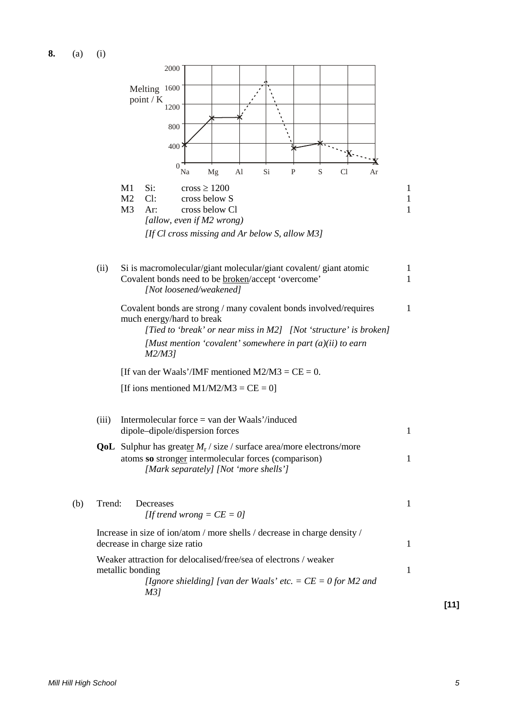**8.** (a) (i)



**[11]**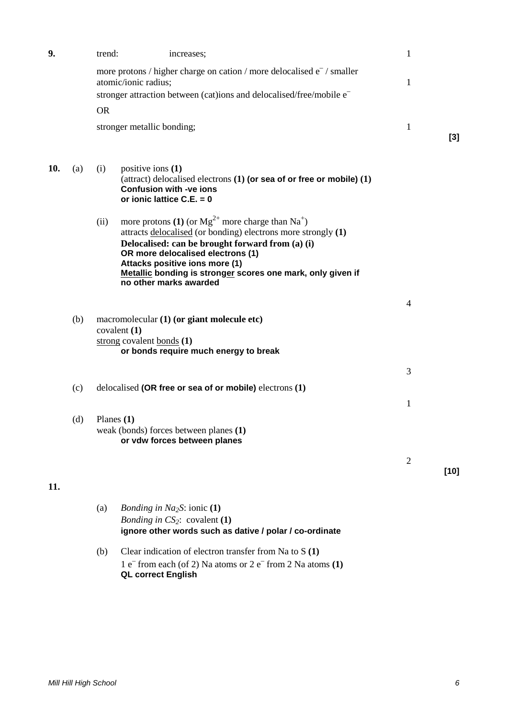| 9.  |     | trend:       |                                                                                      | increases;                                                                                                                                                                                   |                                                                                                                                                               | $\mathbf{1}$   |        |
|-----|-----|--------------|--------------------------------------------------------------------------------------|----------------------------------------------------------------------------------------------------------------------------------------------------------------------------------------------|---------------------------------------------------------------------------------------------------------------------------------------------------------------|----------------|--------|
|     |     |              | atomic/ionic radius;                                                                 |                                                                                                                                                                                              | more protons / higher charge on cation / more delocalised $e^-$ / smaller<br>stronger attraction between (cat)ions and delocalised/free/mobile e <sup>-</sup> | $\mathbf{1}$   |        |
|     |     | <b>OR</b>    |                                                                                      |                                                                                                                                                                                              |                                                                                                                                                               |                |        |
|     |     |              | stronger metallic bonding;                                                           |                                                                                                                                                                                              |                                                                                                                                                               | $\mathbf{1}$   | $[3]$  |
| 10. | (a) | (i)          | positive ions $(1)$<br><b>Confusion with -ve ions</b><br>or ionic lattice $C.E. = 0$ |                                                                                                                                                                                              | (attract) delocalised electrons $(1)$ (or sea of or free or mobile) $(1)$                                                                                     |                |        |
|     |     | (ii)         | no other marks awarded                                                               | more protons (1) (or $Mg^{2+}$ more charge than Na <sup>+</sup> )<br>Delocalised: can be brought forward from (a) (i)<br>OR more delocalised electrons (1)<br>Attacks positive ions more (1) | attracts delocalised (or bonding) electrons more strongly (1)<br>Metallic bonding is stronger scores one mark, only given if                                  |                |        |
|     |     |              |                                                                                      |                                                                                                                                                                                              |                                                                                                                                                               | $\overline{4}$ |        |
|     | (b) |              | covalent $(1)$<br>strong covalent bonds $(1)$                                        | macromolecular (1) (or giant molecule etc)                                                                                                                                                   |                                                                                                                                                               |                |        |
|     |     |              |                                                                                      | or bonds require much energy to break                                                                                                                                                        |                                                                                                                                                               |                |        |
|     |     |              |                                                                                      |                                                                                                                                                                                              |                                                                                                                                                               | 3              |        |
|     | (c) |              |                                                                                      | delocalised (OR free or sea of or mobile) electrons $(1)$                                                                                                                                    |                                                                                                                                                               |                |        |
|     |     |              |                                                                                      |                                                                                                                                                                                              |                                                                                                                                                               | $\mathbf{1}$   |        |
|     | (d) | Planes $(1)$ |                                                                                      | weak (bonds) forces between planes (1)<br>or vdw forces between planes                                                                                                                       |                                                                                                                                                               |                |        |
|     |     |              |                                                                                      |                                                                                                                                                                                              |                                                                                                                                                               | $\overline{2}$ |        |
| 11. |     |              |                                                                                      |                                                                                                                                                                                              |                                                                                                                                                               |                | $[10]$ |
|     |     |              |                                                                                      |                                                                                                                                                                                              |                                                                                                                                                               |                |        |
|     |     | (a)          | <i>Bonding in Na<sub>2</sub>S</i> : ionic $(1)$                                      | <i>Bonding in <math>CS_2</math>:</i> covalent (1)                                                                                                                                            | ignore other words such as dative / polar / co-ordinate                                                                                                       |                |        |
|     |     | (b)          | <b>QL correct English</b>                                                            | Clear indication of electron transfer from Na to $S(1)$                                                                                                                                      | 1 e <sup><math>-</math></sup> from each (of 2) Na atoms or 2 e <sup><math>-</math></sup> from 2 Na atoms (1)                                                  |                |        |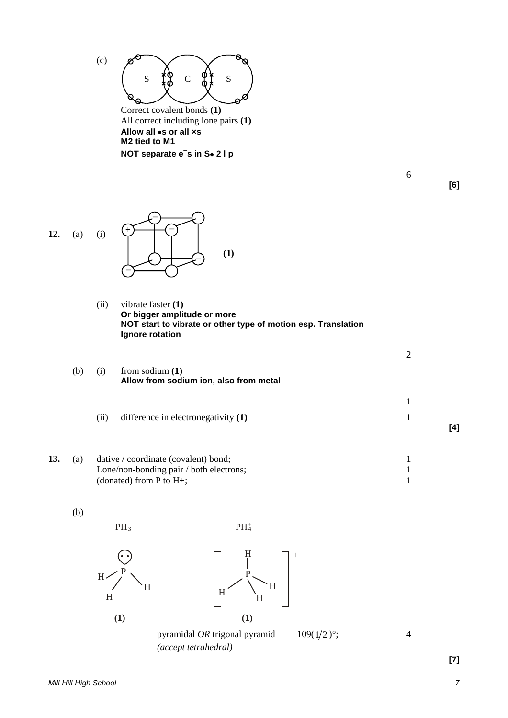

All correct including lone pairs **(1) Allow all** •**s or all ×s M2 tied to M1 NOT separate e– s in S**• **2 l p**

**–**

**[6]**

**[4]**

6

2

1



(ii) vibrate faster **(1) Or bigger amplitude or more NOT start to vibrate or other type of motion esp. Translation Ignore rotation**

**(1)**

| (b) | (i) | from sodium $(1)$                      |
|-----|-----|----------------------------------------|
|     |     | Allow from sodium ion, also from metal |

- (ii) difference in electronegativity **(1)** 1
- **13.** (a) dative / coordinate (covalent) bond; 1 Lone/non-bonding pair / both electrons; 1<br>(donated) from P to H+: 1 (donated) from  $P$  to  $H+$ ;

(b)



 $H$ 

PH 3





 $PH_4^+$ 

+

**[7]**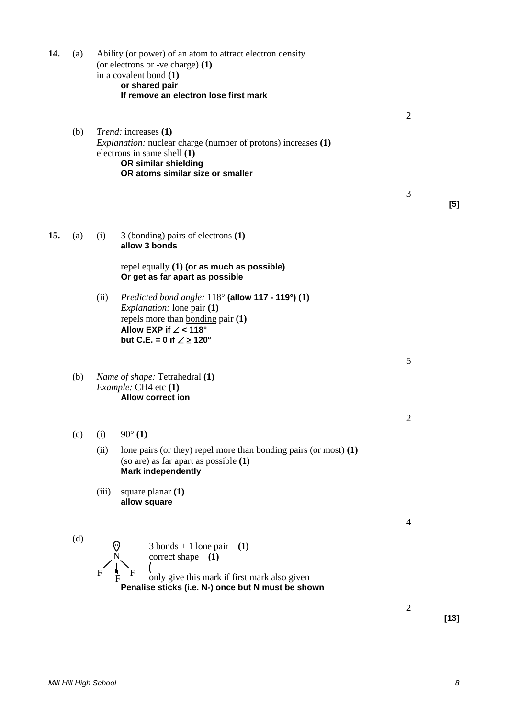**14.** (a) Ability (or power) of an atom to attract electron density (or electrons or -ve charge) **(1)** in a covalent bond **(1) or shared pair If remove an electron lose first mark** 2 (b) *Trend:* increases **(1)** *Explanation:* nuclear charge (number of protons) increases **(1)** electrons in same shell **(1) OR similar shielding OR atoms similar size or smaller** 3 **[5] 15.** (a) (i) 3 (bonding) pairs of electrons **(1) allow 3 bonds** repel equally **(1) (or as much as possible) Or get as far apart as possible**  (ii) *Predicted bond angle:* 118° **(allow 117 - 119°) (1)** *Explanation:* lone pair **(1)** repels more than bonding pair **(1) Allow EXP if** ∠ **< 118° but C.E. = 0 if** ∠ ≥ **120°** 5 (b) *Name of shape:* Tetrahedral **(1)** *Example:* CH4 etc **(1) Allow correct ion** 2 (c) (i)  $90^{\circ}$  (1) (ii) lone pairs (or they) repel more than bonding pairs (or most) **(1)** (so are) as far apart as possible **(1) Mark independently** (iii) square planar **(1) allow square** 4 (d) N  $F \xrightarrow{\textbf{I}} F$ 3 bonds + 1 lone pair **(1)** correct shape **(1)** only give this mark if first mark also given **Penalise sticks (i.e. N-) once but N must be shown** 2

**[13]**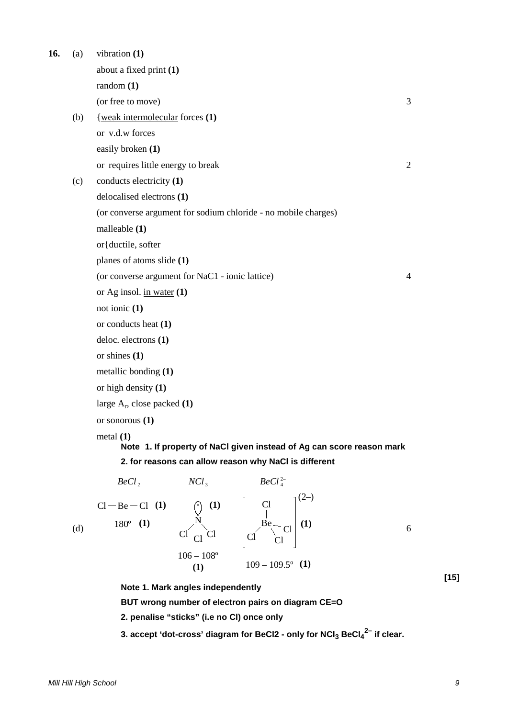| 16. | (a) | vibration $(1)$                                                                      |   |
|-----|-----|--------------------------------------------------------------------------------------|---|
|     |     | about a fixed print (1)                                                              |   |
|     |     | random(1)                                                                            |   |
|     |     | (or free to move)                                                                    | 3 |
|     | (b) | {weak intermolecular forces (1)                                                      |   |
|     |     | or v.d.w forces                                                                      |   |
|     |     | easily broken (1)                                                                    |   |
|     |     | or requires little energy to break                                                   | 2 |
|     | (c) | conducts electricity (1)                                                             |   |
|     |     | delocalised electrons (1)                                                            |   |
|     |     | (or converse argument for sodium chloride - no mobile charges)                       |   |
|     |     | malleable (1)                                                                        |   |
|     |     | or { ductile, softer                                                                 |   |
|     |     | planes of atoms slide (1)                                                            |   |
|     |     | (or converse argument for NaC1 - ionic lattice)                                      | 4 |
|     |     | or Ag insol. in water $(1)$                                                          |   |
|     |     | not ionic $(1)$                                                                      |   |
|     |     | or conducts heat (1)                                                                 |   |
|     |     | deloc. electrons (1)                                                                 |   |
|     |     | or shines $(1)$                                                                      |   |
|     |     | metallic bonding (1)                                                                 |   |
|     |     | or high density $(1)$                                                                |   |
|     |     | large $A_r$ , close packed $(1)$                                                     |   |
|     |     | or sonorous $(1)$                                                                    |   |
|     |     | metal $(1)$<br>Note 1. If property of NaCl given instead of Ag can score reason mark |   |
|     |     | 2. for reasons can allow reason why NaCl is different                                |   |
|     |     | BeCl <sub>4</sub> <sup>2–</sup><br>$NCl_{\mathcal{R}}$<br>BeCl <sub>2</sub>          |   |
|     |     | $\neg$ (2–)<br>$\left(1\right)$ $\left[1\right]$                                     |   |

(d) Be N  $Cl - Be - Cl$  $Cl_{Cl}$ <sup>-1</sup>  $Cl$ (1)  $\qquad \qquad \mathbf{R} \qquad \qquad \mathbf{Be} \qquad \qquad \mathbf{Cl} \qquad (1)$  $\frac{106-108^{\circ}}{(1)}$  109 – 109.5° (1) **(1)** Cl Be Cl Cl Cl Cl 180º **(1)** 6

**Note 1. Mark angles independently**

**BUT wrong number of electron pairs on diagram CE=O**

**2. penalise "sticks" (i.e no Cl) once only**

**3. accept 'dot-cross' diagram for BeCl2 - only for NCl3 BeCl4 2– if clear.**

**[15]**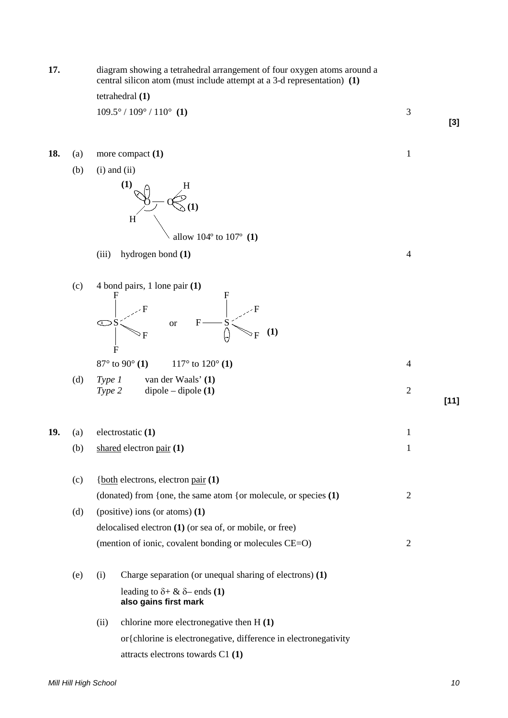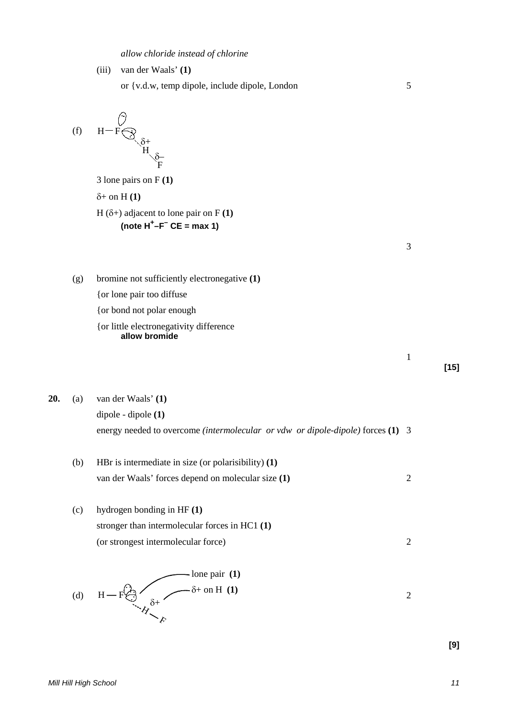|  | allow chloride instead of chlorine |  |  |  |  |
|--|------------------------------------|--|--|--|--|
|--|------------------------------------|--|--|--|--|

| (iii) | van der Waals' (1)                             |  |
|-------|------------------------------------------------|--|
|       | or {v.d.w, temp dipole, include dipole, London |  |

(f) 
$$
H-F \underset{H \underset{F}{\diamondq} f}{\overset{\circ}{\bigcirc}} H
$$

3 lone pairs on F **(1)** δ+ on H **(1)** H  $(\delta+)$  adjacent to lone pair on F  $(1)$ **(note H<sup>+</sup> –F– CE = max 1)**

3

1

**[15]**

(g) bromine not sufficiently electronegative **(1)**

{or lone pair too diffuse

- {or bond not polar enough
- {or little electronegativity difference **allow bromide**

**20.** (a) van der Waals' **(1)** dipole - dipole **(1)** energy needed to overcome *(intermolecular or vdw or dipole-dipole)* forces **(1)** 3

(b) HBr is intermediate in size (or polarisibility) **(1)** van der Waals' forces depend on molecular size **(1)** 2

(c) hydrogen bonding in HF **(1)** stronger than intermolecular forces in HC1 **(1)** (or strongest intermolecular force) 2

(d) H – F
$$
\theta
$$
  
\n $\theta$   
\n $\theta$   
\n $\theta$   
\n $\theta$   
\n $\theta$   
\n $\theta$   
\n $\theta$   
\n $\theta$   
\n2

**[9]**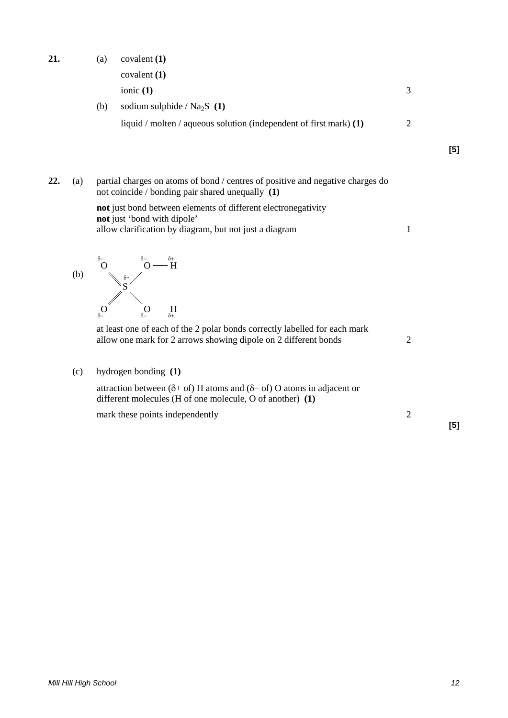\n- (a) covalent (1) 
$$
covalent (1)
$$
\n- ionic (1)  $3$
\n- (b) sodium sulphide / Na<sub>2</sub>S (1)
\n- liquid / molten / aqueous solution (independent of first mark) (1)
\n

**22.** (a) partial charges on atoms of bond / centres of positive and negative charges do not coincide / bonding pair shared unequally **(1)**

> **not** just bond between elements of different electronegativity **not** just 'bond with dipole' allow clarification by diagram, but not just a diagram 1

(d)  
\n
$$
H \xrightarrow{\delta_0} O \xrightarrow{\delta_0} H
$$
  
\n $H \xrightarrow{\delta_0} O$   
\n $H \xrightarrow{\delta_0} O$   
\n $H \xrightarrow{\delta_0} G$ 

at least one of each of the 2 polar bonds correctly labelled for each mark allow one mark for 2 arrows showing dipole on 2 different bonds 2

(c) hydrogen bonding **(1)**

attraction between ( $\delta$ + of) H atoms and ( $\delta$ – of) O atoms in adjacent or different molecules (H of one molecule, O of another) **(1)**

mark these points independently 2

**[5]**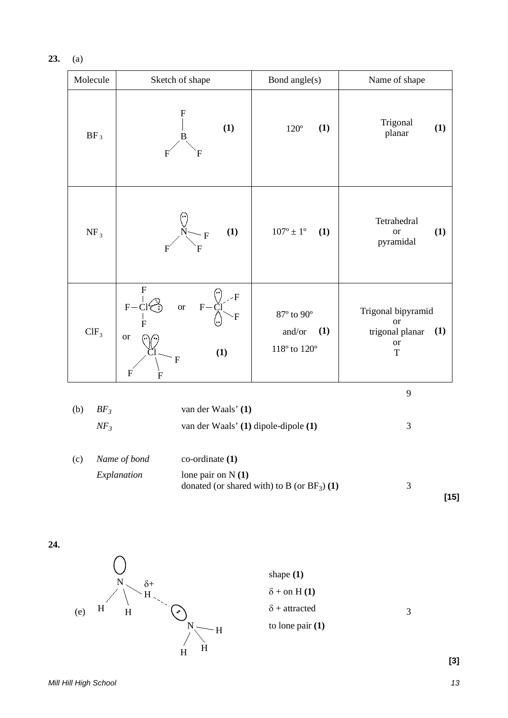**23.** (a)

| Molecule                | Sketch of shape                                                                                                                                                                      | Bond angle(s)                                                                   | Name of shape                                                                           |
|-------------------------|--------------------------------------------------------------------------------------------------------------------------------------------------------------------------------------|---------------------------------------------------------------------------------|-----------------------------------------------------------------------------------------|
| $BF_3$                  | F<br>(1)<br>B<br>F<br>F                                                                                                                                                              | (1)<br>$120^{\circ}$                                                            | Trigonal<br>(1)<br>planar                                                               |
| NF <sub>3</sub>         | (1)<br>$\mathbf F$<br>F                                                                                                                                                              | $107^{\rm o} \pm 1^{\rm o}$<br>(1)                                              | Tetrahedral<br>(1)<br><b>or</b><br>pyramidal                                            |
| CIF <sub>3</sub>        | $\mathbf{F}$<br>$\overline{F}$<br>$F - CI$<br><b>or</b><br>$F-$<br>$\mathbf F$<br>$\overline{F}$<br><b>or</b><br>(1)<br>$\mathbf F$<br>$\boldsymbol{\mathrm{F}}$<br>$\boldsymbol{F}$ | $87^{\rm o}$ to $90^{\rm o}$<br>(1)<br>and/or<br>$118^{\circ}$ to $120^{\circ}$ | Trigonal bipyramid<br><b>or</b><br>(1)<br>trigonal planar<br>$\hbox{or}$<br>$\mathbf T$ |
|                         |                                                                                                                                                                                      |                                                                                 | 9                                                                                       |
| (b)<br>$BF_3$<br>$NF_3$ | van der Waals' (1)<br>van der Waals' (1) dipole-dipole (1)                                                                                                                           |                                                                                 | $\mathfrak{Z}$                                                                          |
| (c)                     | Name of bond<br>$co-ordinate(1)$<br>Explanation<br>lone pair on $N(1)$                                                                                                               | donated (or shared with) to B (or $BF_3$ ) (1)                                  | 3<br>$[15]$                                                                             |

**24.**

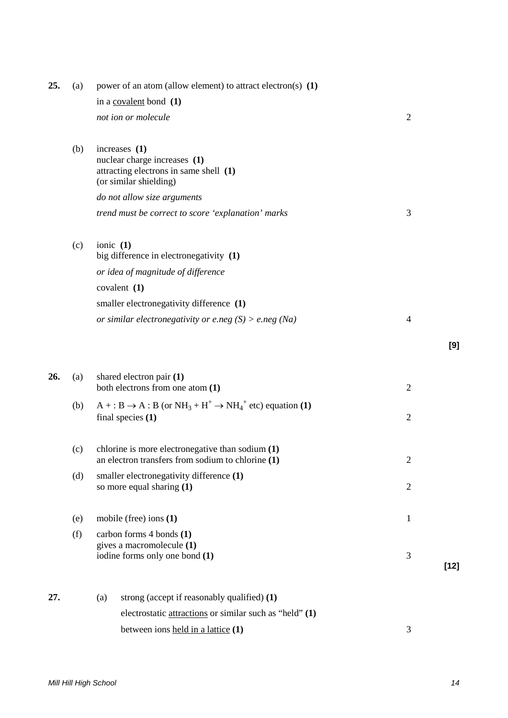| 25. | (a) | power of an atom (allow element) to attract electron(s) $(1)$                                                     |                |     |
|-----|-----|-------------------------------------------------------------------------------------------------------------------|----------------|-----|
|     |     | in a covalent bond (1)                                                                                            |                |     |
|     |     | not ion or molecule                                                                                               | $\overline{2}$ |     |
|     | (b) | increases (1)<br>nuclear charge increases (1)<br>attracting electrons in same shell (1)<br>(or similar shielding) |                |     |
|     |     | do not allow size arguments                                                                                       |                |     |
|     |     | trend must be correct to score 'explanation' marks                                                                | 3              |     |
|     | (c) | ionic $(1)$<br>big difference in electronegativity (1)                                                            |                |     |
|     |     | or idea of magnitude of difference                                                                                |                |     |
|     |     | covalent $(1)$                                                                                                    |                |     |
|     |     | smaller electronegativity difference (1)                                                                          |                |     |
|     |     | or similar electronegativity or e.neg $(S) > e$ .neg $(Na)$                                                       | $\overline{4}$ |     |
|     |     |                                                                                                                   |                | [9] |
| 26. | (a) | shared electron pair (1)<br>both electrons from one atom (1)                                                      | $\overline{2}$ |     |
|     | (b) | $A + : B \rightarrow A : B$ (or $NH_3 + H^+ \rightarrow NH_4^+$ etc) equation (1)<br>final species $(1)$          | $\overline{2}$ |     |
|     | (c) | chlorine is more electronegative than sodium $(1)$<br>an electron transfers from sodium to chlorine $(1)$         | $\overline{2}$ |     |
|     | (d) | smaller electronegativity difference (1)<br>so more equal sharing (1)                                             | $\overline{2}$ |     |
|     | (e) | mobile (free) ions $(1)$                                                                                          | $\mathbf{1}$   |     |
|     | (f) | carbon forms 4 bonds (1)<br>gives a macromolecule (1)<br>iodine forms only one bond (1)                           | 3              |     |
|     |     |                                                                                                                   | $[12]$         |     |
| 27. |     | strong (accept if reasonably qualified) (1)<br>(a)                                                                |                |     |
|     |     | electrostatic <u>attractions</u> or similar such as "held" (1)                                                    |                |     |
|     |     | between ions held in a lattice (1)                                                                                | 3              |     |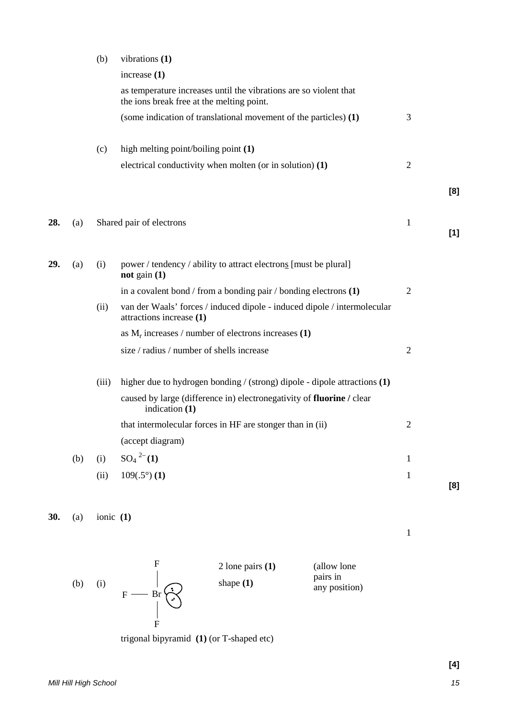|     |     | (b)   | vibrations (1)                                                                                                 |                |     |
|-----|-----|-------|----------------------------------------------------------------------------------------------------------------|----------------|-----|
|     |     |       | increase $(1)$                                                                                                 |                |     |
|     |     |       | as temperature increases until the vibrations are so violent that<br>the ions break free at the melting point. |                |     |
|     |     |       | (some indication of translational movement of the particles) (1)                                               | 3              |     |
|     |     | (c)   | high melting point/boiling point (1)                                                                           |                |     |
|     |     |       | electrical conductivity when molten (or in solution) (1)                                                       | $\overline{2}$ |     |
|     |     |       |                                                                                                                |                | [8] |
| 28. | (a) |       | Shared pair of electrons                                                                                       | $\mathbf{1}$   | [1] |
| 29. | (a) | (i)   | power / tendency / ability to attract electrons [must be plural]<br>not gain $(1)$                             |                |     |
|     |     |       | in a covalent bond / from a bonding pair / bonding electrons $(1)$                                             | $\overline{2}$ |     |
|     |     | (ii)  | van der Waals' forces / induced dipole - induced dipole / intermolecular<br>attractions increase (1)           |                |     |
|     |     |       | as $M_r$ increases / number of electrons increases (1)                                                         |                |     |
|     |     |       | size / radius / number of shells increase                                                                      | $\overline{2}$ |     |
|     |     | (iii) | higher due to hydrogen bonding / (strong) dipole - dipole attractions (1)                                      |                |     |
|     |     |       | caused by large (difference in) electronegativity of fluorine / clear<br>indication (1)                        |                |     |
|     |     |       | that intermolecular forces in HF are stonger than in (ii)                                                      | $\overline{2}$ |     |
|     |     |       | (accept diagram)                                                                                               |                |     |
|     | (b) | (i)   | $SO_4^2$ <sup>2-</sup> (1)                                                                                     | $\mathbf{1}$   |     |
|     |     | (ii)  | $109(.5^{\circ})$ (1)                                                                                          | $\mathbf{1}$   |     |
|     |     |       |                                                                                                                |                | [8] |

**30.** (a) ionic **(1)**



trigonal bipyramid **(1)** (or T-shaped etc)

1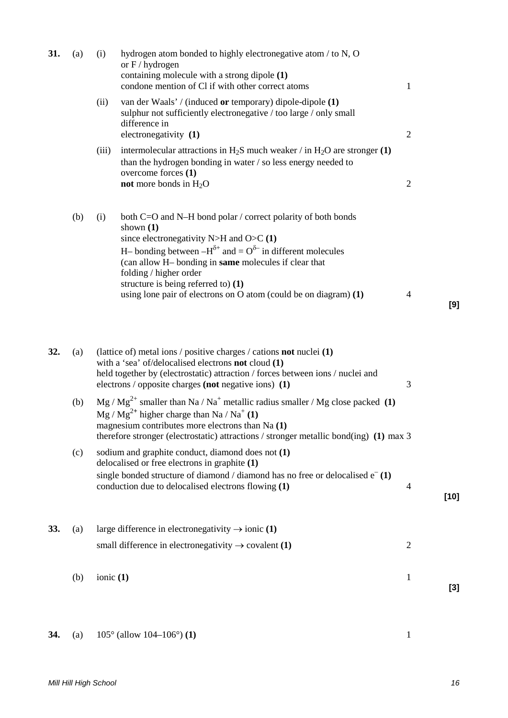| 31. | (a) | (i)   | hydrogen atom bonded to highly electronegative atom / to N, O<br>or $F / hydrogen$<br>containing molecule with a strong dipole (1)<br>condone mention of Cl if with other correct atoms                                                                                                                                                                                                                | $\mathbf{1}$   |        |
|-----|-----|-------|--------------------------------------------------------------------------------------------------------------------------------------------------------------------------------------------------------------------------------------------------------------------------------------------------------------------------------------------------------------------------------------------------------|----------------|--------|
|     |     | (ii)  | van der Waals' / (induced or temporary) dipole-dipole (1)<br>sulphur not sufficiently electronegative / too large / only small<br>difference in<br>electronegativity (1)                                                                                                                                                                                                                               | $\overline{2}$ |        |
|     |     | (iii) | intermolecular attractions in $H_2S$ much weaker / in $H_2O$ are stronger (1)<br>than the hydrogen bonding in water / so less energy needed to<br>overcome forces (1)<br>not more bonds in $H_2O$                                                                                                                                                                                                      | $\overline{2}$ |        |
|     | (b) | (i)   | both C=O and N–H bond polar / correct polarity of both bonds<br>shown $(1)$<br>since electronegativity N>H and O>C $(1)$<br>H– bonding between $-H^{\delta+}$ and $= O^{\delta-}$ in different molecules<br>(can allow H- bonding in same molecules if clear that<br>folding / higher order<br>structure is being referred to) (1)<br>using lone pair of electrons on O atom (could be on diagram) (1) | 4              | [9]    |
| 32. | (a) |       | (lattice of) metal ions / positive charges / cations <b>not</b> nuclei (1)<br>with a 'sea' of/delocalised electrons not cloud (1)<br>held together by (electrostatic) attraction / forces between ions / nuclei and<br>electrons / opposite charges (not negative ions) (1)                                                                                                                            | 3              |        |
|     | (b) |       | $Mg/Mg^{2+}$ smaller than Na / Na <sup>+</sup> metallic radius smaller / Mg close packed (1)<br>$Mg / Mg2+$ higher charge than Na / Na <sup>+</sup> (1)<br>magnesium contributes more electrons than Na (1)<br>therefore stronger (electrostatic) attractions / stronger metallic bond(ing) (1) max 3                                                                                                  |                |        |
|     | (c) |       | sodium and graphite conduct, diamond does not (1)<br>delocalised or free electrons in graphite (1)<br>single bonded structure of diamond / diamond has no free or delocalised $e^{-}(1)$<br>conduction due to delocalised electrons flowing (1)                                                                                                                                                        | $\overline{4}$ | $[10]$ |
| 33. | (a) |       | large difference in electronegativity $\rightarrow$ ionic (1)                                                                                                                                                                                                                                                                                                                                          |                |        |
|     |     |       | small difference in electronegativity $\rightarrow$ covalent (1)                                                                                                                                                                                                                                                                                                                                       | $\overline{2}$ |        |

(b) ionic **(1)** 1 **[3]**

# **34.** (a) 105° (allow 104–106°) **(1)** 1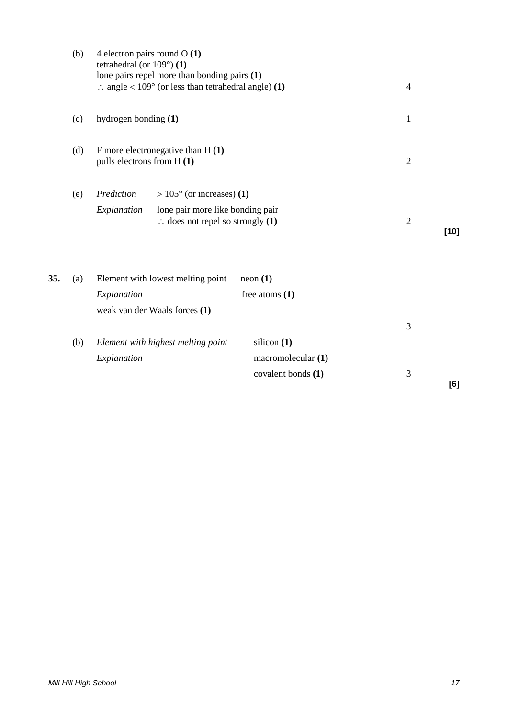|     | (b) | 4 electron pairs round $O(1)$<br>tetrahedral (or $109^{\circ}$ ) (1)<br>lone pairs repel more than bonding pairs (1)<br>$\therefore$ angle < 109° (or less than tetrahedral angle) (1) |                    | $\overline{4}$ |        |
|-----|-----|----------------------------------------------------------------------------------------------------------------------------------------------------------------------------------------|--------------------|----------------|--------|
|     | (c) | hydrogen bonding (1)                                                                                                                                                                   |                    | $\mathbf{1}$   |        |
|     | (d) | F more electronegative than $H(1)$<br>pulls electrons from H (1)                                                                                                                       |                    | $\mathfrak{2}$ |        |
|     | (e) | $> 105^{\circ}$ (or increases) (1)<br>Prediction                                                                                                                                       |                    |                |        |
|     |     | Explanation<br>lone pair more like bonding pair<br>$\therefore$ does not repel so strongly (1)                                                                                         |                    | $\overline{2}$ | $[10]$ |
| 35. | (a) | Element with lowest melting point                                                                                                                                                      | neon(1)            |                |        |
|     |     | Explanation                                                                                                                                                                            | free atoms $(1)$   |                |        |
|     |     | weak van der Waals forces (1)                                                                                                                                                          |                    |                |        |
|     |     |                                                                                                                                                                                        |                    | 3              |        |
|     | (b) | Element with highest melting point                                                                                                                                                     | silicon $(1)$      |                |        |
|     |     | Explanation                                                                                                                                                                            | macromolecular (1) |                |        |
|     |     |                                                                                                                                                                                        | covalent bonds (1) | 3              | [6]    |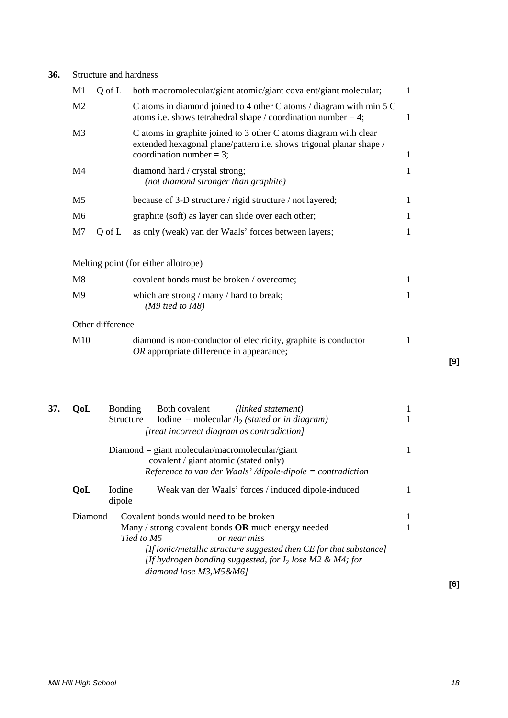# **36.** Structure and hardness

| M1                                   | Q of L | both macromolecular/giant atomic/giant covalent/giant molecular;                                                                                                       | 1 |  |  |  |
|--------------------------------------|--------|------------------------------------------------------------------------------------------------------------------------------------------------------------------------|---|--|--|--|
| M <sub>2</sub>                       |        | C atoms in diamond joined to 4 other C atoms / diagram with min 5 C<br>atoms i.e. shows tetrahedral shape / coordination number = 4;                                   | 1 |  |  |  |
| M <sub>3</sub>                       |        | C atoms in graphite joined to 3 other C atoms diagram with clear<br>extended hexagonal plane/pattern i.e. shows trigonal planar shape /<br>coordination number = $3$ ; | 1 |  |  |  |
| M4                                   |        | diamond hard / crystal strong;<br>(not diamond stronger than graphite)                                                                                                 | 1 |  |  |  |
| M <sub>5</sub>                       |        | because of 3-D structure / rigid structure / not layered;                                                                                                              | 1 |  |  |  |
| M <sub>6</sub>                       |        | graphite (soft) as layer can slide over each other;                                                                                                                    | 1 |  |  |  |
| M <sub>7</sub>                       | Q of L | as only (weak) van der Waals' forces between layers;                                                                                                                   | 1 |  |  |  |
|                                      |        |                                                                                                                                                                        |   |  |  |  |
| Melting point (for either allotrope) |        |                                                                                                                                                                        |   |  |  |  |
| M8                                   |        | covalent bonds must be broken / overcome;                                                                                                                              | 1 |  |  |  |
| M9                                   |        | which are strong / many / hard to break;<br>$(M9$ tied to M8)                                                                                                          | 1 |  |  |  |
| Other difference                     |        |                                                                                                                                                                        |   |  |  |  |
| M10                                  |        | diamond is non-conductor of electricity, graphite is conductor<br>OR appropriate difference in appearance;                                                             | 1 |  |  |  |
|                                      |        |                                                                                                                                                                        |   |  |  |  |

| 37. | OoL                                              | <b>Bonding</b>           | Both covalent                          | (linked statement)                                                                                                                  |   |  |
|-----|--------------------------------------------------|--------------------------|----------------------------------------|-------------------------------------------------------------------------------------------------------------------------------------|---|--|
|     |                                                  | <b>Structure</b>         |                                        | Iodine = molecular $\Lambda_2$ (stated or in diagram)                                                                               |   |  |
|     | [treat incorrect diagram as contradiction]       |                          |                                        |                                                                                                                                     |   |  |
|     | $Diamond = giant molecular/macromolecular/giant$ |                          |                                        |                                                                                                                                     |   |  |
|     | covalent / giant atomic (stated only)            |                          |                                        |                                                                                                                                     |   |  |
|     |                                                  |                          |                                        | Reference to van der Waals' /dipole-dipole = contradiction                                                                          |   |  |
|     | <b>OoL</b>                                       | <b>I</b> odine<br>dipole |                                        | Weak van der Waals' forces / induced dipole-induced                                                                                 |   |  |
|     | Diamond                                          |                          | Covalent bonds would need to be broken |                                                                                                                                     | 1 |  |
|     |                                                  |                          |                                        | Many / strong covalent bonds $OR$ much energy needed                                                                                |   |  |
|     |                                                  | Tied to M5               |                                        | or near miss                                                                                                                        |   |  |
|     |                                                  |                          | diamond lose M3, M5&M6]                | [If ionic/metallic structure suggested then $CE$ for that substance]<br>[If hydrogen bonding suggested, for $I_2$ lose M2 & M4; for |   |  |

**[9]**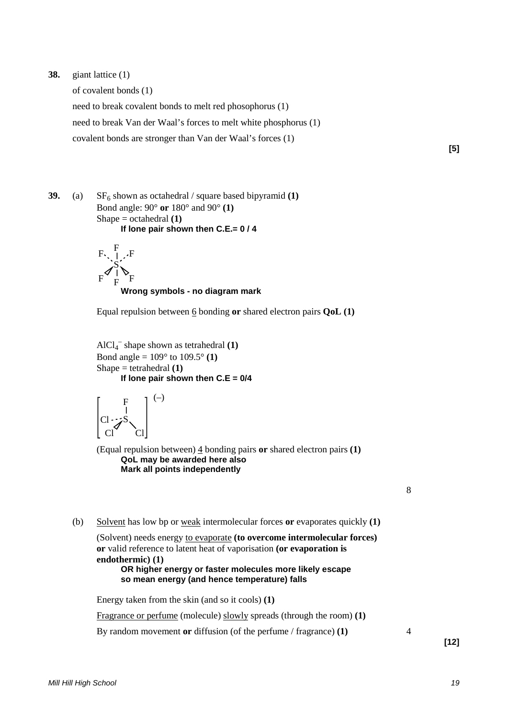## **38.** giant lattice (1)

of covalent bonds (1) need to break covalent bonds to melt red phosophorus (1) need to break Van der Waal's forces to melt white phosphorus (1) covalent bonds are stronger than Van der Waal's forces (1)

**[5]**

**39.** (a)  $SF<sub>6</sub> shown as octahedral / square based bipyramid (1)$ Bond angle: 90° **or** 180° and 90° **(1)** Shape = octahedral **(1) If lone pair shown then C.E.= 0 / 4**



#### **Wrong symbols - no diagram mark**

Equal repulsion between 6 bonding **or** shared electron pairs **QoL (1)**

AlCl4 – shape shown as tetrahedral **(1)** Bond angle = 109° to 109.5° **(1)** Shape = tetrahedral **(1) If lone pair shown then C.E = 0/4**

$$
\begin{bmatrix} F \\ I \\ C I \end{bmatrix}^{(-)} \\ G I
$$

(Equal repulsion between) 4 bonding pairs **or** shared electron pairs **(1) QoL may be awarded here also Mark all points independently**

8

(b) Solvent has low bp or weak intermolecular forces **or** evaporates quickly **(1)**

```
(Solvent) needs energy to evaporate (to overcome intermolecular forces)
or valid reference to latent heat of vaporisation (or evaporation is
endothermic) (1)
     OR higher energy or faster molecules more likely escape
     so mean energy (and hence temperature) falls
```
Energy taken from the skin (and so it cools) **(1)**

Fragrance or perfume (molecule) slowly spreads (through the room) **(1)**

By random movement **or** diffusion (of the perfume / fragrance) **(1)** 4

**[12]**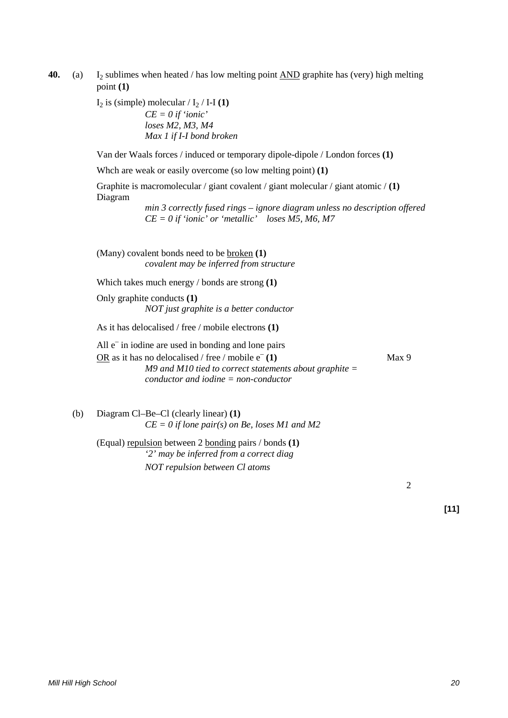**40.** (a) I<sub>2</sub> sublimes when heated / has low melting point <u>AND</u> graphite has (very) high melting point **(1)**

 $I_2$  is (simple) molecular /  $I_2$  / I-I **(1)** 

*CE = 0 if 'ionic' loses M2, M3, M4 Max 1 if I-I bond broken*

Van der Waals forces / induced or temporary dipole-dipole / London forces **(1)**

Whch are weak or easily overcome (so low melting point) **(1)**

Graphite is macromolecular / giant covalent / giant molecular / giant atomic / **(1)** Diagram

> *min 3 correctly fused rings – ignore diagram unless no description offered CE = 0 if 'ionic' or 'metallic' loses M5, M6, M7*

(Many) covalent bonds need to be broken **(1)** *covalent may be inferred from structure*

Which takes much energy / bonds are strong **(1)**

Only graphite conducts **(1)** *NOT just graphite is a better conductor*

As it has delocalised / free / mobile electrons **(1)**

All  $e^-$  in iodine are used in bonding and lone pairs OR as it has no delocalised / free / mobile e– **(1)** Max 9 *M9 and M10 tied to correct statements about graphite = conductor and iodine = non-conductor*

(b) Diagram Cl–Be–Cl (clearly linear) **(1)** *CE = 0 if lone pair(s) on Be, loses M1 and M2*

(Equal) repulsion between 2 bonding pairs / bonds **(1)** *'2' may be inferred from a correct diag NOT repulsion between Cl atoms*

2

**[11]**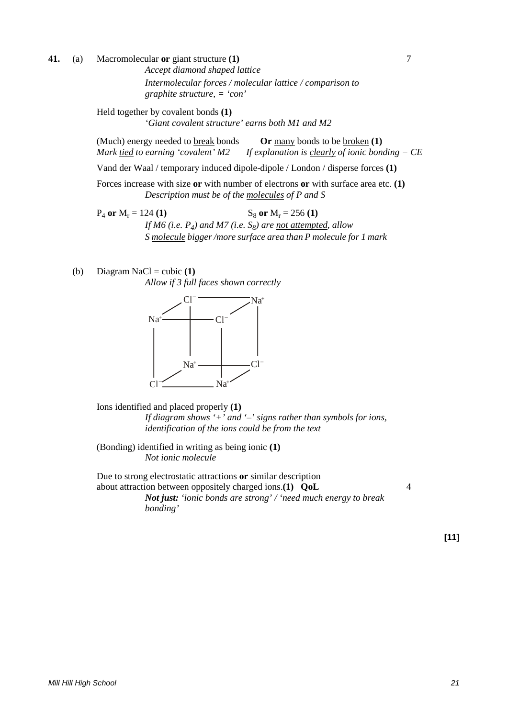**41.** (a) Macromolecular **or** giant structure **(1)** 7

*Accept diamond shaped lattice Intermolecular forces / molecular lattice / comparison to graphite structure, = 'con'*

Held together by covalent bonds **(1)** *'Giant covalent structure' earns both M1 and M2*

(Much) energy needed to break bonds **Or** many bonds to be broken **(1)** *Mark tied to earning 'covalent' M2 If explanation is clearly of ionic bonding = CE*

Vand der Waal / temporary induced dipole-dipole / London / disperse forces **(1)**

Forces increase with size **or** with number of electrons **or** with surface area etc. **(1)** *Description must be of the molecules of P and S*

 $P_4$  or  $M_r = 124$  **(1)** S<sub>8</sub> or  $M_r = 256$  **(1)** *If M6 (i.e.*  $P_4$ *) and M7 (i.e.*  $S_8$ *) are not attempted, allow S molecule bigger /more surface area than P molecule for 1 mark*

(b) Diagram NaCl = cubic **(1)** *Allow if 3 full faces shown correctly*



Ions identified and placed properly **(1)** *If diagram shows '+' and '–' signs rather than symbols for ions, identification of the ions could be from the text*

(Bonding) identified in writing as being ionic **(1)** *Not ionic molecule*

Due to strong electrostatic attractions **or** similar description about attraction between oppositely charged ions.**(1) QoL** 4 *Not just: 'ionic bonds are strong' / 'need much energy to break bonding'*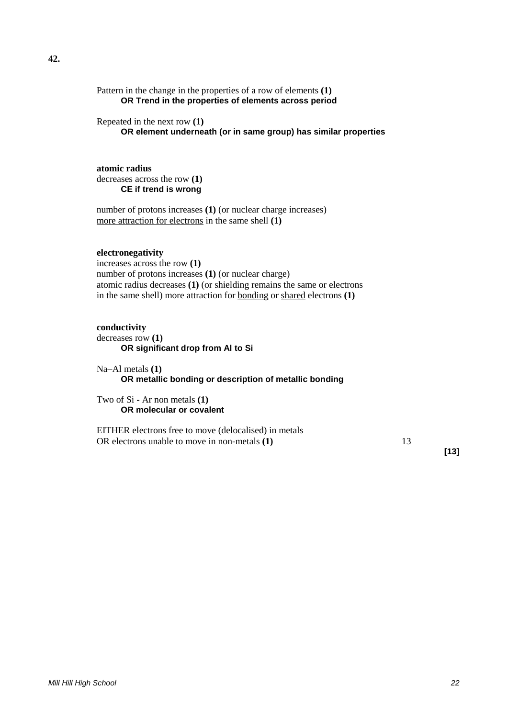Pattern in the change in the properties of a row of elements **(1) OR Trend in the properties of elements across period**

Repeated in the next row **(1)**

**OR element underneath (or in same group) has similar properties**

**atomic radius** decreases across the row **(1) CE if trend is wrong**

number of protons increases **(1)** (or nuclear charge increases) more attraction for electrons in the same shell **(1)**

### **electronegativity**

increases across the row **(1)** number of protons increases **(1)** (or nuclear charge) atomic radius decreases **(1)** (or shielding remains the same or electrons in the same shell) more attraction for bonding or shared electrons **(1)**

#### **conductivity**

decreases row **(1) OR significant drop from Al to Si**

Na–Al metals **(1) OR metallic bonding or description of metallic bonding**

Two of Si - Ar non metals **(1) OR molecular or covalent**

EITHER electrons free to move (delocalised) in metals OR electrons unable to move in non-metals **(1)** 13

**[13]**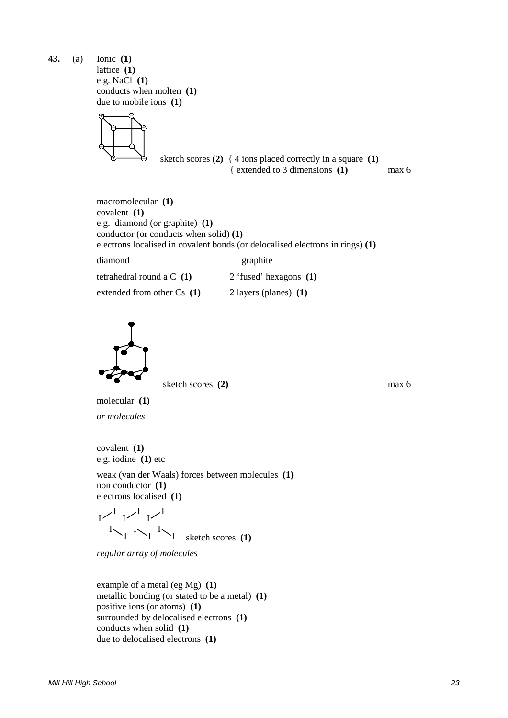**43.** (a) Ionic **(1)** lattice **(1)** e.g. NaCl **(1)** conducts when molten **(1)** due to mobile ions **(1)**



sketch scores  $(2)$  { 4 ions placed correctly in a square  $(1)$ { extended to 3 dimensions **(1)** max 6

macromolecular **(1)** covalent **(1)** e.g. diamond (or graphite) **(1)** conductor (or conducts when solid) **(1)** electrons localised in covalent bonds (or delocalised electrons in rings) **(1)**

diamond graphite

tetrahedral round a C **(1)** 2 'fused' hexagons **(1)**

extended from other Cs **(1)** 2 layers (planes) **(1)**



sketch scores **(2)** max 6

molecular **(1)** *or molecules*

covalent **(1)** e.g. iodine **(1)** etc

weak (van der Waals) forces between molecules **(1)** non conductor **(1)** electrons localised **(1)**

$$
\begin{array}{c}\nI & I & I \\
I & I & I \\
\searrow I & \searrow I \\
\searrow I & \searrow I\n\end{array}
$$
\n 1. Sketch scores (1)

*regular array of molecules*

example of a metal (eg Mg) **(1)** metallic bonding (or stated to be a metal) **(1)** positive ions (or atoms) **(1)** surrounded by delocalised electrons **(1)** conducts when solid **(1)** due to delocalised electrons **(1)**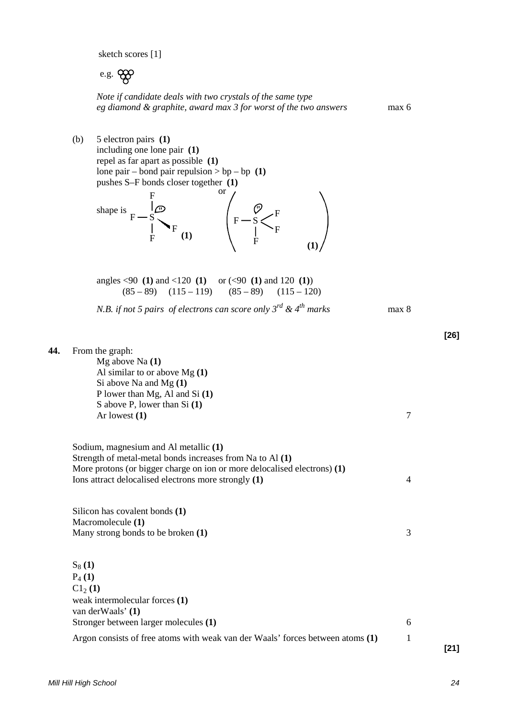sketch scores [1]

e.g.

*Note if candidate deals with two crystals of the same type eg diamond & graphite, award max 3 for worst of the two answers* max 6

(b) 5 electron pairs **(1)** including one lone pair **(1)** repel as far apart as possible **(1)** lone pair – bond pair repulsion  $>$  bp – bp (1) pushes S–F bonds closer together **(1)** shape is  $F - S$   $\begin{array}{c} \downarrow \heartsuit \\ F - S \end{array}$  $F$  (1)  $\Big\}$  $F_{(1)}$   $\qquad \qquad \vert \qquad \vert \qquad F$ F F **(1) (1)** or

angles <90 **(1)** and <120 **(1)** or (<90 **(1)** and 120 **(1)**)  $(85 - 89)$   $(115 - 119)$   $(85 - 89)$   $(115 - 120)$ 

*N.B. if not 5 pairs of electrons can score only*  $3^{rd}$  *&*  $4^{th}$  *marks* max 8

**44.** From the graph:

Mg above Na **(1)** Al similar to or above Mg **(1)** Si above Na and Mg **(1)** P lower than Mg, Al and Si **(1)** S above P, lower than Si **(1)** Ar lowest **(1)** 2

Sodium, magnesium and Al metallic **(1)** Strength of metal-metal bonds increases from Na to Al **(1)** More protons (or bigger charge on ion or more delocalised electrons) **(1)** Ions attract delocalised electrons more strongly **(1)** 4

Silicon has covalent bonds **(1)** Macromolecule **(1)** Many strong bonds to be broken **(1)** 3

 $S_8(1)$ P4 **(1)**  $C1_2(1)$ weak intermolecular forces **(1)** van derWaals' **(1)** Stronger between larger molecules **(1)** 6 Argon consists of free atoms with weak van der Waals' forces between atoms **(1)** 1

**[21]**

**[26]**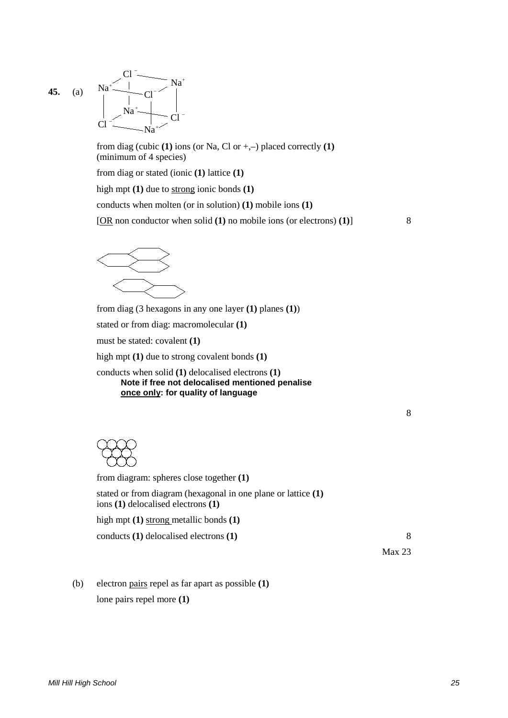**45.** (a) Na Cl Cl Na  $\mathbf{N}$ a $\leftarrow$  Cl Na Cl  $+$   $\sim$   $\sim$  Na<sup>+</sup> + + – – –

> from diag (cubic  $(1)$  ions (or Na, Cl or  $+,-$ ) placed correctly  $(1)$ (minimum of 4 species)

from diag or stated (ionic **(1)** lattice **(1)**

high mpt **(1)** due to strong ionic bonds **(1)**

–

conducts when molten (or in solution) **(1)** mobile ions **(1)**

[OR non conductor when solid **(1)** no mobile ions (or electrons) **(1)**] 8



from diag (3 hexagons in any one layer **(1)** planes **(1)**)

stated or from diag: macromolecular **(1)**

must be stated: covalent **(1)**

high mpt **(1)** due to strong covalent bonds **(1)**

conducts when solid **(1)** delocalised electrons **(1) Note if free not delocalised mentioned penalise once only: for quality of language**

|    | ., |        |   |  |
|----|----|--------|---|--|
|    |    | I      |   |  |
| ×, |    |        |   |  |
| ×  |    | I<br>٧ | I |  |



| from diagram: spheres close together $(1)$                                                              |        |
|---------------------------------------------------------------------------------------------------------|--------|
| stated or from diagram (hexagonal in one plane or lattice $(1)$ )<br>ions (1) delocalised electrons (1) |        |
| high mpt $(1)$ strong metallic bonds $(1)$                                                              |        |
| conducts $(1)$ delocalised electrons $(1)$                                                              | 8      |
|                                                                                                         | Max 23 |

(b) electron pairs repel as far apart as possible **(1)** lone pairs repel more **(1)**